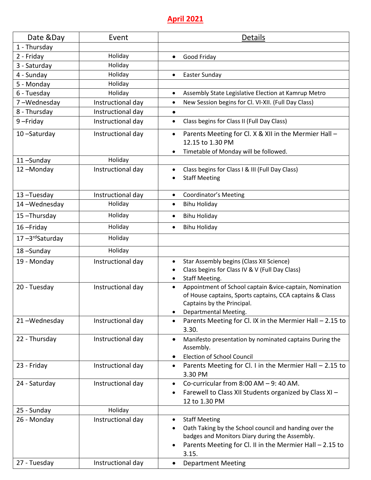# **April 2021**

| Date &Day                       | Event             | <b>Details</b>                                                                                                                                                                                                                  |
|---------------------------------|-------------------|---------------------------------------------------------------------------------------------------------------------------------------------------------------------------------------------------------------------------------|
| 1 - Thursday                    |                   |                                                                                                                                                                                                                                 |
| 2 - Friday                      | Holiday           | Good Friday<br>$\bullet$                                                                                                                                                                                                        |
| 3 - Saturday                    | Holiday           |                                                                                                                                                                                                                                 |
| 4 - Sunday                      | Holiday           | Easter Sunday<br>$\bullet$                                                                                                                                                                                                      |
| 5 - Monday                      | Holiday           |                                                                                                                                                                                                                                 |
| 6 - Tuesday                     | Holiday           | Assembly State Legislative Election at Kamrup Metro<br>$\bullet$                                                                                                                                                                |
| 7-Wednesday                     | Instructional day | New Session begins for Cl. VI-XII. (Full Day Class)<br>$\bullet$                                                                                                                                                                |
| 8 - Thursday                    | Instructional day | $\bullet$                                                                                                                                                                                                                       |
| $9$ -Friday                     | Instructional day | Class begins for Class II (Full Day Class)<br>٠                                                                                                                                                                                 |
| 10-Saturday                     | Instructional day | Parents Meeting for Cl. X & XII in the Mermier Hall -<br>12.15 to 1.30 PM<br>Timetable of Monday will be followed.                                                                                                              |
| 11-Sunday                       | Holiday           |                                                                                                                                                                                                                                 |
| 12-Monday                       | Instructional day | Class begins for Class I & III (Full Day Class)<br>$\bullet$<br><b>Staff Meeting</b>                                                                                                                                            |
| 13-Tuesday                      | Instructional day | <b>Coordinator's Meeting</b><br>$\bullet$                                                                                                                                                                                       |
| 14-Wednesday                    | Holiday           | <b>Bihu Holiday</b><br>$\bullet$                                                                                                                                                                                                |
| 15-Thursday                     | Holiday           | <b>Bihu Holiday</b><br>$\bullet$                                                                                                                                                                                                |
| 16-Friday                       | Holiday           | <b>Bihu Holiday</b><br>$\bullet$                                                                                                                                                                                                |
| $17 - 3$ <sup>rd</sup> Saturday | Holiday           |                                                                                                                                                                                                                                 |
| 18-Sunday                       | Holiday           |                                                                                                                                                                                                                                 |
| 19 - Monday                     | Instructional day | Star Assembly begins (Class XII Science)<br>$\bullet$<br>Class begins for Class IV & V (Full Day Class)<br>$\bullet$<br><b>Staff Meeting.</b><br>$\bullet$                                                                      |
| 20 - Tuesday                    | Instructional day | Appointment of School captain &vice-captain, Nomination<br>$\bullet$<br>of House captains, Sports captains, CCA captains & Class<br>Captains by the Principal.<br>Departmental Meeting.                                         |
| 21-Wednesday                    | Instructional day | Parents Meeting for Cl. IX in the Mermier Hall - 2.15 to<br>$\bullet$<br>3.30.                                                                                                                                                  |
| 22 - Thursday                   | Instructional day | Manifesto presentation by nominated captains During the<br>$\bullet$<br>Assembly.<br><b>Election of School Council</b>                                                                                                          |
| 23 - Friday                     | Instructional day | Parents Meeting for Cl. I in the Mermier Hall $-$ 2.15 to<br>$\bullet$<br>3.30 PM                                                                                                                                               |
| 24 - Saturday                   | Instructional day | Co-curricular from $8:00$ AM $-9:40$ AM.<br>$\bullet$<br>Farewell to Class XII Students organized by Class XI -<br>٠<br>12 to 1.30 PM                                                                                           |
| 25 - Sunday                     | Holiday           |                                                                                                                                                                                                                                 |
| 26 - Monday                     | Instructional day | <b>Staff Meeting</b><br>$\bullet$<br>Oath Taking by the School council and handing over the<br>badges and Monitors Diary during the Assembly.<br>Parents Meeting for Cl. II in the Mermier Hall - 2.15 to<br>$\bullet$<br>3.15. |
| 27 - Tuesday                    | Instructional day | <b>Department Meeting</b><br>$\bullet$                                                                                                                                                                                          |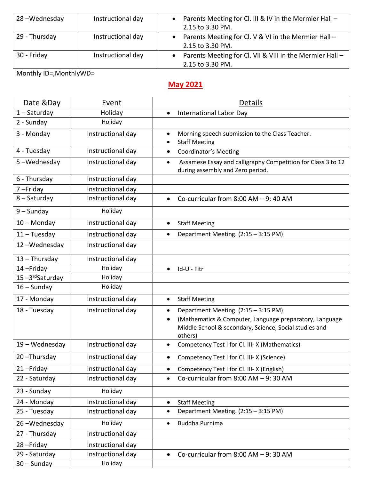| 28-Wednesday  | Instructional day | • Parents Meeting for Cl. III & IV in the Mermier Hall -   |
|---------------|-------------------|------------------------------------------------------------|
|               |                   | 2.15 to 3.30 PM.                                           |
| 29 - Thursday | Instructional day | • Parents Meeting for Cl. V & VI in the Mermier Hall -     |
|               |                   | 2.15 to 3.30 PM.                                           |
| 30 - Friday   | Instructional day | • Parents Meeting for Cl. VII & VIII in the Mermier Hall - |
|               |                   | 2.15 to 3.30 PM.                                           |

Monthly ID=,MonthlyWD=

## **May 2021**

| Date &Day       | Event             | <b>Details</b>                                                                                                                                                                    |
|-----------------|-------------------|-----------------------------------------------------------------------------------------------------------------------------------------------------------------------------------|
| $1 -$ Saturday  | Holiday           | <b>International Labor Day</b><br>$\bullet$                                                                                                                                       |
| 2 - Sunday      | Holiday           |                                                                                                                                                                                   |
| 3 - Monday      | Instructional day | Morning speech submission to the Class Teacher.<br>$\bullet$<br><b>Staff Meeting</b><br>$\bullet$                                                                                 |
| 4 - Tuesday     | Instructional day | <b>Coordinator's Meeting</b><br>$\bullet$                                                                                                                                         |
| 5-Wednesday     | Instructional day | Assamese Essay and calligraphy Competition for Class 3 to 12<br>$\bullet$<br>during assembly and Zero period.                                                                     |
| 6 - Thursday    | Instructional day |                                                                                                                                                                                   |
| 7-Friday        | Instructional day |                                                                                                                                                                                   |
| 8-Saturday      | Instructional day | Co-curricular from $8:00$ AM $-9:40$ AM<br>$\bullet$                                                                                                                              |
| $9 -$ Sunday    | Holiday           |                                                                                                                                                                                   |
| $10 -$ Monday   | Instructional day | <b>Staff Meeting</b><br>$\bullet$                                                                                                                                                 |
| $11 - Tuesday$  | Instructional day | Department Meeting. (2:15 - 3:15 PM)<br>$\bullet$                                                                                                                                 |
| 12-Wednesday    | Instructional day |                                                                                                                                                                                   |
| $13 - Thursday$ | Instructional day |                                                                                                                                                                                   |
| 14-Friday       | Holiday           | Id-Ul-Fitr<br>$\bullet$                                                                                                                                                           |
| 15-3rdSaturday  | Holiday           |                                                                                                                                                                                   |
| $16 -$ Sunday   | Holiday           |                                                                                                                                                                                   |
| 17 - Monday     | Instructional day | <b>Staff Meeting</b><br>$\bullet$                                                                                                                                                 |
| 18 - Tuesday    | Instructional day | Department Meeting. (2:15 - 3:15 PM)<br>$\bullet$<br>(Mathematics & Computer, Language preparatory, Language<br>Middle School & secondary, Science, Social studies and<br>others) |
| 19 - Wednesday  | Instructional day | Competency Test I for Cl. III-X (Mathematics)                                                                                                                                     |
| 20-Thursday     | Instructional day | Competency Test I for Cl. III- X (Science)                                                                                                                                        |
| 21-Friday       | Instructional day | Competency Test I for Cl. III- X (English)                                                                                                                                        |
| 22 - Saturday   | Instructional day | Co-curricular from $8:00$ AM $-9:30$ AM<br>$\bullet$                                                                                                                              |
| 23 - Sunday     | Holiday           |                                                                                                                                                                                   |
| 24 - Monday     | Instructional day | <b>Staff Meeting</b><br>$\bullet$                                                                                                                                                 |
| 25 - Tuesday    | Instructional day | Department Meeting. (2:15 - 3:15 PM)<br>$\bullet$                                                                                                                                 |
| 26-Wednesday    | Holiday           | Buddha Purnima<br>$\bullet$                                                                                                                                                       |
| 27 - Thursday   | Instructional day |                                                                                                                                                                                   |
| 28-Friday       | Instructional day |                                                                                                                                                                                   |
| 29 - Saturday   | Instructional day | Co-curricular from $8:00$ AM $-9:30$ AM<br>٠                                                                                                                                      |
| $30 -$ Sunday   | Holiday           |                                                                                                                                                                                   |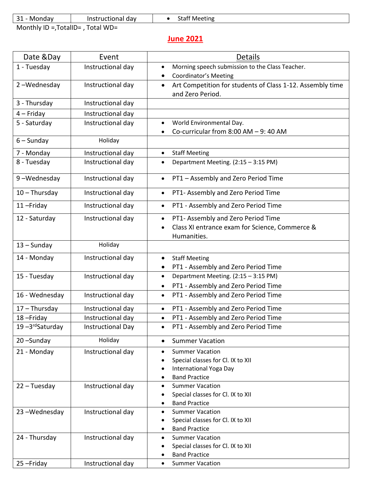| 31<br>Mondav      | Instructional day | Meeting<br>Jldi. |  |
|-------------------|-------------------|------------------|--|
| .<br>.<br>__<br>. | $-1111$           |                  |  |

Monthly ID =,TotalID= , Total WD=

## **June 2021**

| Date &Day                       | Event             | <b>Details</b>                                                         |
|---------------------------------|-------------------|------------------------------------------------------------------------|
| 1 - Tuesday                     | Instructional day | Morning speech submission to the Class Teacher.<br>$\bullet$           |
|                                 |                   | <b>Coordinator's Meeting</b>                                           |
| 2-Wednesday                     | Instructional day | Art Competition for students of Class 1-12. Assembly time<br>$\bullet$ |
|                                 |                   | and Zero Period.                                                       |
| 3 - Thursday                    | Instructional day |                                                                        |
| $4 -$ Friday                    | Instructional day |                                                                        |
| 5 - Saturday                    | Instructional day | World Environmental Day.<br>$\bullet$                                  |
|                                 |                   | Co-curricular from $8:00$ AM $-9:40$ AM<br>$\bullet$                   |
| $6 -$ Sunday                    | Holiday           |                                                                        |
| 7 - Monday                      | Instructional day | <b>Staff Meeting</b><br>$\bullet$                                      |
| 8 - Tuesday                     | Instructional day | Department Meeting. (2:15 - 3:15 PM)<br>$\bullet$                      |
| 9-Wednesday                     | Instructional day | PT1 - Assembly and Zero Period Time<br>$\bullet$                       |
| $10 - Thursday$                 | Instructional day | PT1- Assembly and Zero Period Time<br>$\bullet$                        |
| 11-Friday                       | Instructional day | PT1 - Assembly and Zero Period Time<br>$\bullet$                       |
| 12 - Saturday                   | Instructional day | PT1- Assembly and Zero Period Time<br>$\bullet$                        |
|                                 |                   | Class XI entrance exam for Science, Commerce &<br>$\bullet$            |
|                                 |                   | Humanities.                                                            |
| $13 -$ Sunday                   | Holiday           |                                                                        |
| 14 - Monday                     | Instructional day | <b>Staff Meeting</b><br>$\bullet$                                      |
|                                 |                   | PT1 - Assembly and Zero Period Time<br>$\bullet$                       |
| 15 - Tuesday                    | Instructional day | Department Meeting. (2:15 - 3:15 PM)<br>$\bullet$                      |
|                                 |                   | PT1 - Assembly and Zero Period Time<br>$\bullet$                       |
| 16 - Wednesday                  | Instructional day | PT1 - Assembly and Zero Period Time<br>$\bullet$                       |
| $17 - Thursday$                 | Instructional day | PT1 - Assembly and Zero Period Time<br>$\bullet$                       |
| 18-Friday                       | Instructional day | PT1 - Assembly and Zero Period Time<br>$\bullet$                       |
| $19 - 3$ <sup>rd</sup> Saturday | Instructional Day | PT1 - Assembly and Zero Period Time<br>$\bullet$                       |
| 20-Sunday                       | Holiday           | <b>Summer Vacation</b><br>$\bullet$                                    |
| 21 - Monday                     | Instructional day | <b>Summer Vacation</b><br>$\bullet$                                    |
|                                 |                   | Special classes for Cl. IX to XII                                      |
|                                 |                   | International Yoga Day<br>$\bullet$                                    |
|                                 |                   | <b>Band Practice</b><br>$\bullet$                                      |
| 22 - Tuesday                    | Instructional day | <b>Summer Vacation</b><br>$\bullet$                                    |
|                                 |                   | Special classes for Cl. IX to XII<br>$\bullet$                         |
|                                 |                   | <b>Band Practice</b>                                                   |
| 23-Wednesday                    | Instructional day | <b>Summer Vacation</b><br>$\bullet$                                    |
|                                 |                   | Special classes for Cl. IX to XII                                      |
|                                 |                   | <b>Band Practice</b><br>$\bullet$<br><b>Summer Vacation</b>            |
| 24 - Thursday                   | Instructional day | $\bullet$<br>Special classes for Cl. IX to XII                         |
|                                 |                   | <b>Band Practice</b>                                                   |
| 25-Friday                       | Instructional day | <b>Summer Vacation</b><br>$\bullet$                                    |
|                                 |                   |                                                                        |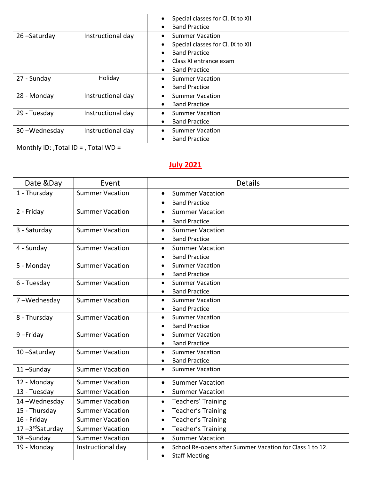|              |                   | Special classes for Cl. IX to XII<br>$\bullet$<br><b>Band Practice</b><br>$\bullet$                                        |
|--------------|-------------------|----------------------------------------------------------------------------------------------------------------------------|
| 26-Saturday  | Instructional day | <b>Summer Vacation</b><br>$\bullet$<br>Special classes for Cl. IX to XII<br>$\bullet$<br><b>Band Practice</b><br>$\bullet$ |
|              |                   | Class XI entrance exam<br>$\bullet$<br><b>Band Practice</b><br>$\bullet$                                                   |
| 27 - Sunday  | Holiday           | <b>Summer Vacation</b><br>$\bullet$<br><b>Band Practice</b><br>$\bullet$                                                   |
| 28 - Monday  | Instructional day | <b>Summer Vacation</b><br>$\bullet$<br><b>Band Practice</b><br>$\bullet$                                                   |
| 29 - Tuesday | Instructional day | <b>Summer Vacation</b><br>$\bullet$<br><b>Band Practice</b><br>$\bullet$                                                   |
| 30-Wednesday | Instructional day | <b>Summer Vacation</b><br>$\bullet$<br><b>Band Practice</b><br>$\bullet$                                                   |

Monthly ID: ,Total ID = , Total WD =

# **July 2021**

| Date &Day      | Event                  | <b>Details</b>                                                        |
|----------------|------------------------|-----------------------------------------------------------------------|
| 1 - Thursday   | <b>Summer Vacation</b> | <b>Summer Vacation</b><br>$\bullet$                                   |
|                |                        | <b>Band Practice</b><br>$\bullet$                                     |
| 2 - Friday     | <b>Summer Vacation</b> | <b>Summer Vacation</b><br>$\bullet$                                   |
|                |                        | <b>Band Practice</b><br>$\bullet$                                     |
| 3 - Saturday   | <b>Summer Vacation</b> | <b>Summer Vacation</b><br>$\bullet$                                   |
|                |                        | <b>Band Practice</b><br>$\bullet$                                     |
| 4 - Sunday     | <b>Summer Vacation</b> | <b>Summer Vacation</b><br>$\bullet$                                   |
|                |                        | <b>Band Practice</b>                                                  |
| 5 - Monday     | <b>Summer Vacation</b> | <b>Summer Vacation</b><br>$\bullet$                                   |
|                |                        | <b>Band Practice</b><br>$\bullet$                                     |
| 6 - Tuesday    | <b>Summer Vacation</b> | <b>Summer Vacation</b><br>$\bullet$                                   |
|                |                        | <b>Band Practice</b><br>$\bullet$                                     |
| 7-Wednesday    | <b>Summer Vacation</b> | <b>Summer Vacation</b><br>$\bullet$                                   |
|                |                        | <b>Band Practice</b><br>$\bullet$                                     |
| 8 - Thursday   | <b>Summer Vacation</b> | <b>Summer Vacation</b><br>$\bullet$                                   |
|                |                        | <b>Band Practice</b><br>$\bullet$                                     |
| 9-Friday       | <b>Summer Vacation</b> | <b>Summer Vacation</b><br>$\bullet$                                   |
|                |                        | <b>Band Practice</b><br>$\bullet$                                     |
| 10-Saturday    | <b>Summer Vacation</b> | <b>Summer Vacation</b><br>$\bullet$                                   |
|                |                        | <b>Band Practice</b><br>$\bullet$                                     |
| 11-Sunday      | <b>Summer Vacation</b> | <b>Summer Vacation</b><br>$\bullet$                                   |
| 12 - Monday    | <b>Summer Vacation</b> | <b>Summer Vacation</b><br>$\bullet$                                   |
| 13 - Tuesday   | <b>Summer Vacation</b> | <b>Summer Vacation</b><br>$\bullet$                                   |
| 14-Wednesday   | <b>Summer Vacation</b> | Teachers' Training<br>$\bullet$                                       |
| 15 - Thursday  | <b>Summer Vacation</b> | Teacher's Training<br>$\bullet$                                       |
| 16 - Friday    | <b>Summer Vacation</b> | Teacher's Training<br>$\bullet$                                       |
| 17-3rdSaturday | <b>Summer Vacation</b> | Teacher's Training<br>$\bullet$                                       |
| 18-Sunday      | <b>Summer Vacation</b> | <b>Summer Vacation</b><br>$\bullet$                                   |
| 19 - Monday    | Instructional day      | School Re-opens after Summer Vacation for Class 1 to 12.<br>$\bullet$ |
|                |                        | <b>Staff Meeting</b><br>$\bullet$                                     |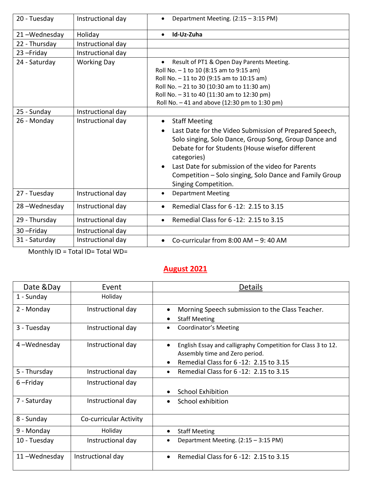| 20 - Tuesday  | Instructional day  | Department Meeting. (2:15 - 3:15 PM)<br>٠                                                                                                                                                                                                                                                                                                                                    |
|---------------|--------------------|------------------------------------------------------------------------------------------------------------------------------------------------------------------------------------------------------------------------------------------------------------------------------------------------------------------------------------------------------------------------------|
| 21-Wednesday  | Holiday            | Id-Uz-Zuha<br>$\bullet$                                                                                                                                                                                                                                                                                                                                                      |
| 22 - Thursday | Instructional day  |                                                                                                                                                                                                                                                                                                                                                                              |
| 23-Friday     | Instructional day  |                                                                                                                                                                                                                                                                                                                                                                              |
| 24 - Saturday | <b>Working Day</b> | Result of PT1 & Open Day Parents Meeting.<br>$\bullet$<br>Roll No. - 1 to 10 (8:15 am to 9:15 am)<br>Roll No. - 11 to 20 (9:15 am to 10:15 am)<br>Roll No. - 21 to 30 (10:30 am to 11:30 am)<br>Roll No. - 31 to 40 (11:30 am to 12:30 pm)<br>Roll No. - 41 and above (12:30 pm to 1:30 pm)                                                                                  |
| 25 - Sunday   | Instructional day  |                                                                                                                                                                                                                                                                                                                                                                              |
| 26 - Monday   | Instructional day  | <b>Staff Meeting</b><br>$\bullet$<br>Last Date for the Video Submission of Prepared Speech,<br>$\bullet$<br>Solo singing, Solo Dance, Group Song, Group Dance and<br>Debate for for Students (House wisefor different<br>categories)<br>Last Date for submission of the video for Parents<br>Competition – Solo singing, Solo Dance and Family Group<br>Singing Competition. |
| 27 - Tuesday  | Instructional day  | <b>Department Meeting</b><br>$\bullet$                                                                                                                                                                                                                                                                                                                                       |
| 28-Wednesday  | Instructional day  | Remedial Class for 6 -12: 2.15 to 3.15<br>$\bullet$                                                                                                                                                                                                                                                                                                                          |
| 29 - Thursday | Instructional day  | Remedial Class for 6 -12: 2.15 to 3.15<br>$\bullet$                                                                                                                                                                                                                                                                                                                          |
| 30-Friday     | Instructional day  |                                                                                                                                                                                                                                                                                                                                                                              |
| 31 - Saturday | Instructional day  | Co-curricular from $8:00$ AM $-9:40$ AM<br>$\bullet$                                                                                                                                                                                                                                                                                                                         |

Monthly ID = Total ID= Total WD=

#### **August 2021**

| Date &Day    | Event                  | <b>Details</b>                                                                                                                                                     |
|--------------|------------------------|--------------------------------------------------------------------------------------------------------------------------------------------------------------------|
| 1 - Sunday   | Holiday                |                                                                                                                                                                    |
| 2 - Monday   | Instructional day      | Morning Speech submission to the Class Teacher.<br>$\bullet$<br><b>Staff Meeting</b><br>٠                                                                          |
| 3 - Tuesday  | Instructional day      | <b>Coordinator's Meeting</b><br>$\bullet$                                                                                                                          |
| 4-Wednesday  | Instructional day      | English Essay and calligraphy Competition for Class 3 to 12.<br>$\bullet$<br>Assembly time and Zero period.<br>Remedial Class for 6 -12: 2.15 to 3.15<br>$\bullet$ |
| 5 - Thursday | Instructional day      | Remedial Class for 6 -12: 2.15 to 3.15<br>٠                                                                                                                        |
| $6$ -Friday  | Instructional day      | <b>School Exhibition</b><br>$\bullet$                                                                                                                              |
| 7 - Saturday | Instructional day      | School exhibition<br>$\bullet$                                                                                                                                     |
| 8 - Sunday   | Co-curricular Activity |                                                                                                                                                                    |
| 9 - Monday   | Holiday                | <b>Staff Meeting</b><br>٠                                                                                                                                          |
| 10 - Tuesday | Instructional day      | Department Meeting. (2:15 - 3:15 PM)                                                                                                                               |
| 11-Wednesday | Instructional day      | Remedial Class for 6 -12: 2.15 to 3.15<br>$\bullet$                                                                                                                |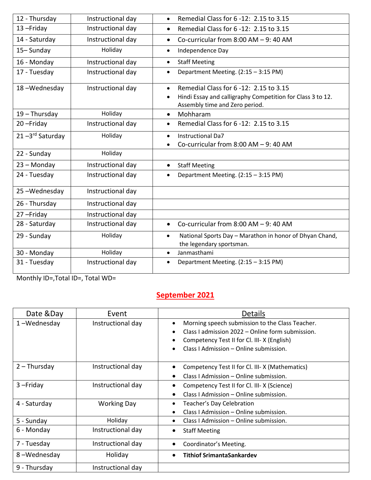| 12 - Thursday   | Instructional day | Remedial Class for 6 -12: 2.15 to 3.15<br>$\bullet$                                                                                                              |
|-----------------|-------------------|------------------------------------------------------------------------------------------------------------------------------------------------------------------|
| 13-Friday       | Instructional day | Remedial Class for 6 -12: 2.15 to 3.15<br>$\bullet$                                                                                                              |
| 14 - Saturday   | Instructional day | Co-curricular from $8:00$ AM $-9:40$ AM<br>$\bullet$                                                                                                             |
| 15-Sunday       | Holiday           | Independence Day<br>$\bullet$                                                                                                                                    |
| 16 - Monday     | Instructional day | <b>Staff Meeting</b><br>$\bullet$                                                                                                                                |
| 17 - Tuesday    | Instructional day | Department Meeting. (2:15 - 3:15 PM)<br>$\bullet$                                                                                                                |
| 18-Wednesday    | Instructional day | Remedial Class for 6 -12: 2.15 to 3.15<br>$\bullet$<br>Hindi Essay and calligraphy Competition for Class 3 to 12.<br>$\bullet$<br>Assembly time and Zero period. |
| $19$ – Thursday | Holiday           | Mohharam<br>$\bullet$                                                                                                                                            |
| 20-Friday       | Instructional day | Remedial Class for 6 -12: 2.15 to 3.15<br>$\bullet$                                                                                                              |
| 21-3rd Saturday | Holiday           | <b>Instructional Da7</b><br>$\bullet$<br>Co-curricular from $8:00$ AM $-9:40$ AM<br>$\bullet$                                                                    |
| 22 - Sunday     | Holiday           |                                                                                                                                                                  |
| 23 - Monday     | Instructional day | <b>Staff Meeting</b><br>$\bullet$                                                                                                                                |
| 24 - Tuesday    | Instructional day | Department Meeting. (2:15 - 3:15 PM)<br>$\bullet$                                                                                                                |
| 25-Wednesday    | Instructional day |                                                                                                                                                                  |
| 26 - Thursday   | Instructional day |                                                                                                                                                                  |
| 27-Friday       | Instructional day |                                                                                                                                                                  |
| 28 - Saturday   | Instructional day | Co-curricular from $8:00$ AM $-9:40$ AM<br>$\bullet$                                                                                                             |
| 29 - Sunday     | Holiday           | National Sports Day - Marathon in honor of Dhyan Chand,<br>$\bullet$<br>the legendary sportsman.                                                                 |
| 30 - Monday     | Holiday           | Janmasthami<br>$\bullet$                                                                                                                                         |
| 31 - Tuesday    | Instructional day | Department Meeting. (2:15 - 3:15 PM)<br>٠                                                                                                                        |

Monthly ID=,Total ID=, Total WD=

# **September 2021**

| Date &Day      | Event              | <b>Details</b>                                   |
|----------------|--------------------|--------------------------------------------------|
| 1-Wednesday    | Instructional day  | Morning speech submission to the Class Teacher.  |
|                |                    | Class I admission 2022 – Online form submission. |
|                |                    | Competency Test II for Cl. III- X (English)      |
|                |                    | Class I Admission – Online submission.           |
|                |                    |                                                  |
| $2$ – Thursday | Instructional day  | Competency Test II for Cl. III-X (Mathematics)   |
|                |                    | Class I Admission – Online submission.           |
| $3$ -Friday    | Instructional day  | Competency Test II for Cl. III-X (Science)       |
|                |                    | Class I Admission - Online submission.           |
| 4 - Saturday   | <b>Working Day</b> | Teacher's Day Celebration                        |
|                |                    | Class I Admission - Online submission.           |
| 5 - Sunday     | Holiday            | Class I Admission – Online submission.           |
| 6 - Monday     | Instructional day  | <b>Staff Meeting</b>                             |
| 7 - Tuesday    | Instructional day  | Coordinator's Meeting.                           |
| 8-Wednesday    | Holiday            | <b>Tithiof SrimantaSankardev</b>                 |
| 9 - Thursday   | Instructional day  |                                                  |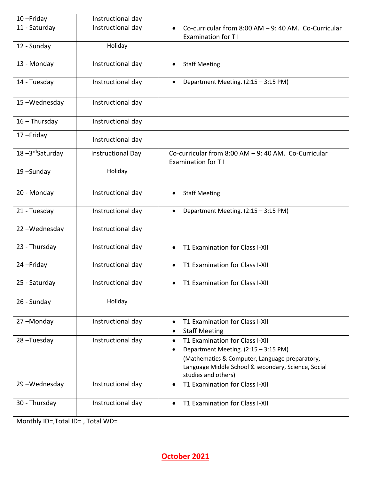| 10-Friday       | Instructional day |                                                                                                                                                                                                                     |
|-----------------|-------------------|---------------------------------------------------------------------------------------------------------------------------------------------------------------------------------------------------------------------|
| 11 - Saturday   | Instructional day | Co-curricular from 8:00 AM - 9: 40 AM. Co-Curricular<br><b>Examination for TI</b>                                                                                                                                   |
| 12 - Sunday     | Holiday           |                                                                                                                                                                                                                     |
| 13 - Monday     | Instructional day | <b>Staff Meeting</b>                                                                                                                                                                                                |
| 14 - Tuesday    | Instructional day | Department Meeting. (2:15 - 3:15 PM)                                                                                                                                                                                |
| 15-Wednesday    | Instructional day |                                                                                                                                                                                                                     |
| $16 - Thursday$ | Instructional day |                                                                                                                                                                                                                     |
| 17-Friday       | Instructional day |                                                                                                                                                                                                                     |
| 18-3rdSaturday  | Instructional Day | Co-curricular from 8:00 AM - 9: 40 AM. Co-Curricular<br><b>Examination for TI</b>                                                                                                                                   |
| 19-Sunday       | Holiday           |                                                                                                                                                                                                                     |
| 20 - Monday     | Instructional day | <b>Staff Meeting</b><br>$\bullet$                                                                                                                                                                                   |
| 21 - Tuesday    | Instructional day | Department Meeting. (2:15 - 3:15 PM)<br>$\bullet$                                                                                                                                                                   |
| 22-Wednesday    | Instructional day |                                                                                                                                                                                                                     |
| 23 - Thursday   | Instructional day | T1 Examination for Class I-XII<br>$\bullet$                                                                                                                                                                         |
| 24-Friday       | Instructional day | T1 Examination for Class I-XII                                                                                                                                                                                      |
| 25 - Saturday   | Instructional day | T1 Examination for Class I-XII<br>$\bullet$                                                                                                                                                                         |
| 26 - Sunday     | Holiday           |                                                                                                                                                                                                                     |
| 27-Monday       | Instructional day | T1 Examination for Class I-XII<br><b>Staff Meeting</b><br>$\bullet$                                                                                                                                                 |
| 28-Tuesday      | Instructional day | T1 Examination for Class I-XII<br>$\bullet$<br>Department Meeting. (2:15 - 3:15 PM)<br>(Mathematics & Computer, Language preparatory,<br>Language Middle School & secondary, Science, Social<br>studies and others) |
| 29-Wednesday    | Instructional day | T1 Examination for Class I-XII                                                                                                                                                                                      |
| 30 - Thursday   | Instructional day | T1 Examination for Class I-XII                                                                                                                                                                                      |

Monthly ID=,Total ID= , Total WD=

**October 2021**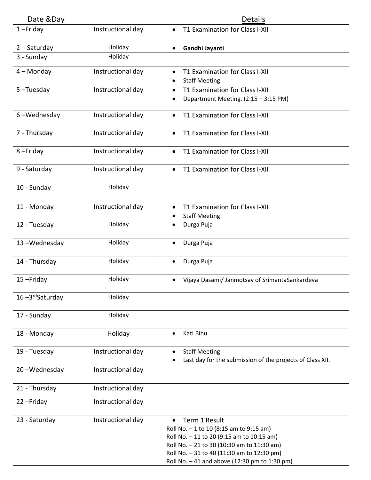| Date &Day      |                   | <b>Details</b>                                                                                                                                                                                                                                     |
|----------------|-------------------|----------------------------------------------------------------------------------------------------------------------------------------------------------------------------------------------------------------------------------------------------|
| $1$ -Friday    | Instructional day | T1 Examination for Class I-XII                                                                                                                                                                                                                     |
| $2 - Saturday$ | Holiday           | Gandhi Jayanti<br>$\bullet$                                                                                                                                                                                                                        |
| 3 - Sunday     | Holiday           |                                                                                                                                                                                                                                                    |
| $4 -$ Monday   | Instructional day | T1 Examination for Class I-XII<br>$\bullet$<br><b>Staff Meeting</b><br>$\bullet$                                                                                                                                                                   |
| 5-Tuesday      | Instructional day | T1 Examination for Class I-XII<br>Department Meeting. (2:15 - 3:15 PM)<br>٠                                                                                                                                                                        |
| 6-Wednesday    | Instructional day | T1 Examination for Class I-XII<br>$\bullet$                                                                                                                                                                                                        |
| 7 - Thursday   | Instructional day | T1 Examination for Class I-XII                                                                                                                                                                                                                     |
| 8-Friday       | Instructional day | T1 Examination for Class I-XII                                                                                                                                                                                                                     |
| 9 - Saturday   | Instructional day | T1 Examination for Class I-XII                                                                                                                                                                                                                     |
| 10 - Sunday    | Holiday           |                                                                                                                                                                                                                                                    |
| 11 - Monday    | Instructional day | T1 Examination for Class I-XII<br><b>Staff Meeting</b>                                                                                                                                                                                             |
| 12 - Tuesday   | Holiday           | Durga Puja<br>٠                                                                                                                                                                                                                                    |
| 13-Wednesday   | Holiday           | Durga Puja                                                                                                                                                                                                                                         |
| 14 - Thursday  | Holiday           | Durga Puja<br>$\bullet$                                                                                                                                                                                                                            |
| 15-Friday      | Holiday           | Vijaya Dasami/ Janmotsav of SrimantaSankardeva<br>$\bullet$                                                                                                                                                                                        |
| 16-3rdSaturday | Holiday           |                                                                                                                                                                                                                                                    |
| 17 - Sunday    | Holiday           |                                                                                                                                                                                                                                                    |
| 18 - Monday    | Holiday           | Kati Bihu                                                                                                                                                                                                                                          |
| 19 - Tuesday   | Instructional day | <b>Staff Meeting</b><br>Last day for the submission of the projects of Class XII.                                                                                                                                                                  |
| 20-Wednesday   | Instructional day |                                                                                                                                                                                                                                                    |
| 21 - Thursday  | Instructional day |                                                                                                                                                                                                                                                    |
| 22-Friday      | Instructional day |                                                                                                                                                                                                                                                    |
| 23 - Saturday  | Instructional day | Term 1 Result<br>Roll No. - 1 to 10 (8:15 am to 9:15 am)<br>Roll No. - 11 to 20 (9:15 am to 10:15 am)<br>Roll No. - 21 to 30 (10:30 am to 11:30 am)<br>Roll No. - 31 to 40 (11:30 am to 12:30 pm)<br>Roll No. - 41 and above (12:30 pm to 1:30 pm) |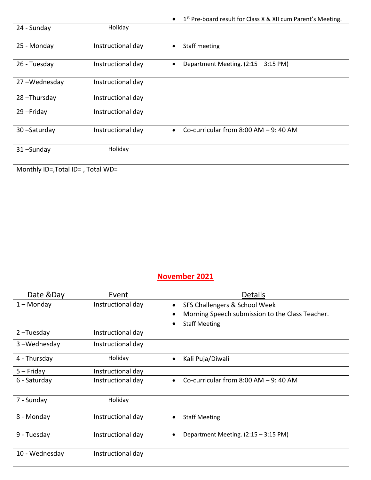|              |                   | 1 <sup>st</sup> Pre-board result for Class X & XII cum Parent's Meeting.<br>$\bullet$ |
|--------------|-------------------|---------------------------------------------------------------------------------------|
| 24 - Sunday  | Holiday           |                                                                                       |
| 25 - Monday  | Instructional day | Staff meeting                                                                         |
| 26 - Tuesday | Instructional day | Department Meeting. (2:15 - 3:15 PM)                                                  |
| 27-Wednesday | Instructional day |                                                                                       |
| 28-Thursday  | Instructional day |                                                                                       |
| 29-Friday    | Instructional day |                                                                                       |
| 30-Saturday  | Instructional day | Co-curricular from $8:00$ AM $-9:40$ AM                                               |
| 31-Sunday    | Holiday           |                                                                                       |

Monthly ID=,Total ID= , Total WD=

## **November 2021**

| Date &Day      | Event             | <b>Details</b>                                  |
|----------------|-------------------|-------------------------------------------------|
| $1 -$ Monday   | Instructional day | SFS Challengers & School Week                   |
|                |                   | Morning Speech submission to the Class Teacher. |
|                |                   | <b>Staff Meeting</b>                            |
| $2$ -Tuesday   | Instructional day |                                                 |
| 3-Wednesday    | Instructional day |                                                 |
| 4 - Thursday   | Holiday           | Kali Puja/Diwali                                |
| $5 -$ Friday   | Instructional day |                                                 |
| 6 - Saturday   | Instructional day | Co-curricular from $8:00$ AM $-9:40$ AM         |
| 7 - Sunday     | Holiday           |                                                 |
| 8 - Monday     | Instructional day | <b>Staff Meeting</b>                            |
| 9 - Tuesday    | Instructional day | Department Meeting. (2:15 - 3:15 PM)            |
| 10 - Wednesday | Instructional day |                                                 |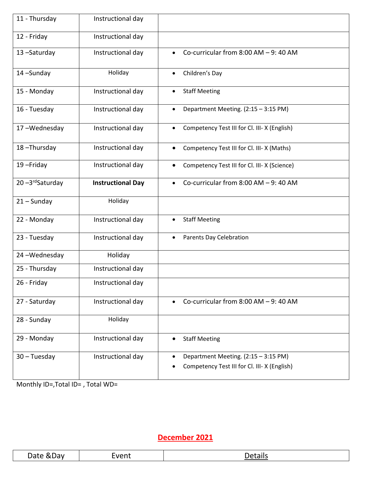| 11 - Thursday  | Instructional day        |                                                                                      |
|----------------|--------------------------|--------------------------------------------------------------------------------------|
| 12 - Friday    | Instructional day        |                                                                                      |
| 13-Saturday    | Instructional day        | Co-curricular from $8:00$ AM $-9:40$ AM                                              |
| 14-Sunday      | Holiday                  | Children's Day<br>$\bullet$                                                          |
| 15 - Monday    | Instructional day        | <b>Staff Meeting</b>                                                                 |
| 16 - Tuesday   | Instructional day        | Department Meeting. (2:15 - 3:15 PM)                                                 |
| 17-Wednesday   | Instructional day        | Competency Test III for Cl. III- X (English)                                         |
| 18-Thursday    | Instructional day        | Competency Test III for Cl. III-X (Maths)                                            |
| 19-Friday      | Instructional day        | Competency Test III for Cl. III- X (Science)                                         |
| 20-3rdSaturday | <b>Instructional Day</b> | Co-curricular from $8:00$ AM $-9:40$ AM                                              |
| $21 -$ Sunday  | Holiday                  |                                                                                      |
| 22 - Monday    | Instructional day        | <b>Staff Meeting</b>                                                                 |
| 23 - Tuesday   | Instructional day        | <b>Parents Day Celebration</b>                                                       |
| 24-Wednesday   | Holiday                  |                                                                                      |
| 25 - Thursday  | Instructional day        |                                                                                      |
| 26 - Friday    | Instructional day        |                                                                                      |
| 27 - Saturday  | Instructional day        | Co-curricular from $8:00$ AM $-9:40$ AM                                              |
| 28 - Sunday    | Holiday                  |                                                                                      |
| 29 - Monday    | Instructional day        | <b>Staff Meeting</b>                                                                 |
| $30 - Tuesday$ | Instructional day        | Department Meeting. (2:15 - 3:15 PM)<br>Competency Test III for Cl. III- X (English) |

Monthly ID=,Total ID= , Total WD=

# **December 2021**

| - 12<br>ע הנ<br>ॱ╻╒╸<br>$\sim$<br>$ -$ | .<br>$-1$ | <u>ли</u> |
|----------------------------------------|-----------|-----------|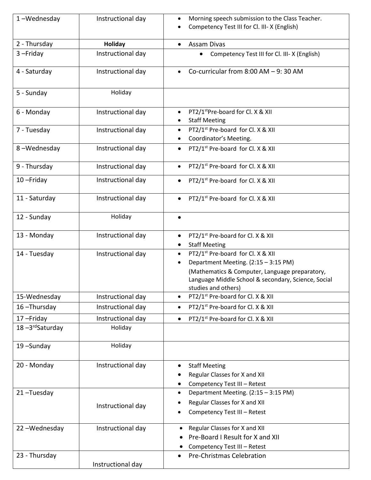| 1-Wednesday    | Instructional day | Morning speech submission to the Class Teacher.<br>$\bullet$<br>Competency Test III for Cl. III- X (English)                                                                                                                       |
|----------------|-------------------|------------------------------------------------------------------------------------------------------------------------------------------------------------------------------------------------------------------------------------|
| 2 - Thursday   | <b>Holiday</b>    | <b>Assam Divas</b>                                                                                                                                                                                                                 |
| $3 - Friday$   | Instructional day | Competency Test III for Cl. III- X (English)<br>$\bullet$                                                                                                                                                                          |
| 4 - Saturday   | Instructional day | Co-curricular from $8:00$ AM $-9:30$ AM                                                                                                                                                                                            |
| 5 - Sunday     | Holiday           |                                                                                                                                                                                                                                    |
| 6 - Monday     | Instructional day | PT2/1 <sup>st</sup> Pre-board for Cl. X & XII<br>$\bullet$<br><b>Staff Meeting</b>                                                                                                                                                 |
| 7 - Tuesday    | Instructional day | PT2/1 <sup>st</sup> Pre-board for Cl. X & XII<br>$\bullet$<br>Coordinator's Meeting.                                                                                                                                               |
| 8-Wednesday    | Instructional day | PT2/1 <sup>st</sup> Pre-board for Cl. X & XII<br>$\bullet$                                                                                                                                                                         |
| 9 - Thursday   | Instructional day | PT2/1 <sup>st</sup> Pre-board for Cl. X & XII<br>$\bullet$                                                                                                                                                                         |
| 10-Friday      | Instructional day | PT2/1 <sup>st</sup> Pre-board for Cl. X & XII<br>$\bullet$                                                                                                                                                                         |
| 11 - Saturday  | Instructional day | PT2/1 <sup>st</sup> Pre-board for Cl. X & XII<br>$\bullet$                                                                                                                                                                         |
| 12 - Sunday    | Holiday           | $\bullet$                                                                                                                                                                                                                          |
| 13 - Monday    | Instructional day | PT2/1 <sup>st</sup> Pre-board for Cl. X & XII<br>$\bullet$<br><b>Staff Meeting</b><br>$\bullet$                                                                                                                                    |
| 14 - Tuesday   | Instructional day | PT2/1 <sup>st</sup> Pre-board for Cl. X & XII<br>$\bullet$<br>Department Meeting. (2:15 - 3:15 PM)<br>(Mathematics & Computer, Language preparatory,<br>Language Middle School & secondary, Science, Social<br>studies and others) |
| 15-Wednesday   | Instructional day | PT2/1 <sup>st</sup> Pre-board for Cl. X & XII<br>$\bullet$                                                                                                                                                                         |
| 16-Thursday    | Instructional day | PT2/1 <sup>st</sup> Pre-board for Cl. X & XII<br>$\bullet$                                                                                                                                                                         |
| 17-Friday      | Instructional day | PT2/1 <sup>st</sup> Pre-board for Cl. X & XII<br>$\bullet$                                                                                                                                                                         |
| 18-3rdSaturday | Holiday           |                                                                                                                                                                                                                                    |
| 19-Sunday      | Holiday           |                                                                                                                                                                                                                                    |
| 20 - Monday    | Instructional day | <b>Staff Meeting</b><br>$\bullet$<br>Regular Classes for X and XII<br>Competency Test III - Retest<br>$\bullet$                                                                                                                    |
| 21-Tuesday     | Instructional day | Department Meeting. (2:15 - 3:15 PM)<br>$\bullet$<br>Regular Classes for X and XII<br>Competency Test III - Retest                                                                                                                 |
| 22-Wednesday   | Instructional day | Regular Classes for X and XII<br>$\bullet$<br>Pre-Board I Result for X and XII<br>Competency Test III - Retest<br>٠                                                                                                                |
| 23 - Thursday  | Instructional day | <b>Pre-Christmas Celebration</b>                                                                                                                                                                                                   |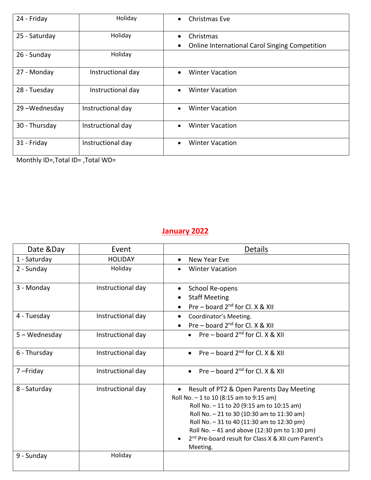| 24 - Friday   | Holiday           | Christmas Eve<br>$\bullet$                                                                   |
|---------------|-------------------|----------------------------------------------------------------------------------------------|
| 25 - Saturday | Holiday           | Christmas<br>$\bullet$<br><b>Online International Carol Singing Competition</b><br>$\bullet$ |
| 26 - Sunday   | Holiday           |                                                                                              |
| 27 - Monday   | Instructional day | <b>Winter Vacation</b><br>$\bullet$                                                          |
| 28 - Tuesday  | Instructional day | <b>Winter Vacation</b><br>$\bullet$                                                          |
| 29-Wednesday  | Instructional day | <b>Winter Vacation</b><br>$\bullet$                                                          |
| 30 - Thursday | Instructional day | <b>Winter Vacation</b><br>$\bullet$                                                          |
| 31 - Friday   | Instructional day | <b>Winter Vacation</b><br>$\bullet$                                                          |

Monthly ID=,Total ID= ,Total WD=

## **January 2022**

| Date &Day     | Event             | <b>Details</b>                                                                                                                                                                                                                                                                                                                                                  |
|---------------|-------------------|-----------------------------------------------------------------------------------------------------------------------------------------------------------------------------------------------------------------------------------------------------------------------------------------------------------------------------------------------------------------|
| 1 - Saturday  | <b>HOLIDAY</b>    | New Year Eve                                                                                                                                                                                                                                                                                                                                                    |
| 2 - Sunday    | Holiday           | <b>Winter Vacation</b>                                                                                                                                                                                                                                                                                                                                          |
| 3 - Monday    | Instructional day | School Re-opens<br>$\bullet$<br><b>Staff Meeting</b><br>Pre - board 2 <sup>nd</sup> for Cl. X & XII                                                                                                                                                                                                                                                             |
| 4 - Tuesday   | Instructional day | Coordinator's Meeting.<br>Pre – board $2^{nd}$ for Cl. X & XII                                                                                                                                                                                                                                                                                                  |
| 5 - Wednesday | Instructional day | • Pre – board $2^{nd}$ for Cl. X & XII                                                                                                                                                                                                                                                                                                                          |
| 6 - Thursday  | Instructional day | • Pre – board $2^{nd}$ for Cl. X & XII                                                                                                                                                                                                                                                                                                                          |
| 7-Friday      | Instructional day | • Pre – board $2^{nd}$ for Cl. X & XII                                                                                                                                                                                                                                                                                                                          |
| 8 - Saturday  | Instructional day | • Result of PT2 & Open Parents Day Meeting<br>Roll No. - 1 to 10 (8:15 am to 9:15 am)<br>Roll No. - 11 to 20 (9:15 am to 10:15 am)<br>Roll No. - 21 to 30 (10:30 am to 11:30 am)<br>Roll No. - 31 to 40 (11:30 am to 12:30 pm)<br>Roll No. $-41$ and above (12:30 pm to 1:30 pm)<br>2 <sup>nd</sup> Pre-board result for Class X & XII cum Parent's<br>Meeting. |
| 9 - Sunday    | Holiday           |                                                                                                                                                                                                                                                                                                                                                                 |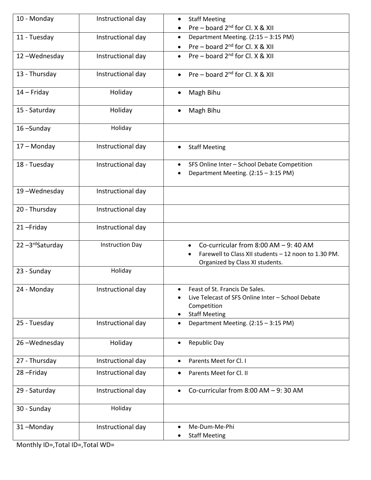| 10 - Monday    | Instructional day      | <b>Staff Meeting</b><br>$\bullet$                                                                                                                            |
|----------------|------------------------|--------------------------------------------------------------------------------------------------------------------------------------------------------------|
|                |                        | Pre – board $2^{nd}$ for Cl. X & XII                                                                                                                         |
| 11 - Tuesday   | Instructional day      | Department Meeting. (2:15 - 3:15 PM)<br>$\bullet$                                                                                                            |
|                |                        | Pre – board $2^{nd}$ for Cl. X & XII                                                                                                                         |
| 12-Wednesday   | Instructional day      | Pre – board $2^{nd}$ for Cl. X & XII                                                                                                                         |
| 13 - Thursday  | Instructional day      | Pre – board $2^{nd}$ for Cl. X & XII<br>$\bullet$                                                                                                            |
| $14$ – Friday  | Holiday                | Magh Bihu                                                                                                                                                    |
| 15 - Saturday  | Holiday                | Magh Bihu<br>$\bullet$                                                                                                                                       |
| 16-Sunday      | Holiday                |                                                                                                                                                              |
| 17 - Monday    | Instructional day      | <b>Staff Meeting</b><br>$\bullet$                                                                                                                            |
| 18 - Tuesday   | Instructional day      | SFS Online Inter - School Debate Competition<br>$\bullet$<br>Department Meeting. (2:15 - 3:15 PM)<br>$\bullet$                                               |
| 19-Wednesday   | Instructional day      |                                                                                                                                                              |
| 20 - Thursday  | Instructional day      |                                                                                                                                                              |
| 21-Friday      | Instructional day      |                                                                                                                                                              |
| 22-3rdSaturday | <b>Instruction Day</b> | Co-curricular from $8:00$ AM $-9:40$ AM<br>$\bullet$<br>Farewell to Class XII students - 12 noon to 1.30 PM.<br>$\bullet$<br>Organized by Class XI students. |
| 23 - Sunday    | Holiday                |                                                                                                                                                              |
| 24 - Monday    | Instructional day      | Feast of St. Francis De Sales.<br>Live Telecast of SFS Online Inter - School Debate<br>Competition<br><b>Staff Meeting</b><br>$\bullet$                      |
| 25 - Tuesday   | Instructional day      | Department Meeting. (2:15 - 3:15 PM)<br>$\bullet$                                                                                                            |
| 26-Wednesday   | Holiday                | Republic Day<br>$\bullet$                                                                                                                                    |
| 27 - Thursday  | Instructional day      | Parents Meet for Cl. I<br>$\bullet$                                                                                                                          |
| 28-Friday      | Instructional day      | Parents Meet for Cl. II                                                                                                                                      |
| 29 - Saturday  | Instructional day      | Co-curricular from $8:00$ AM $-9:30$ AM<br>$\bullet$                                                                                                         |
| 30 - Sunday    | Holiday                |                                                                                                                                                              |
| 31-Monday      | Instructional day      | Me-Dum-Me-Phi<br>$\bullet$<br><b>Staff Meeting</b>                                                                                                           |

Monthly ID=,Total ID=,Total WD=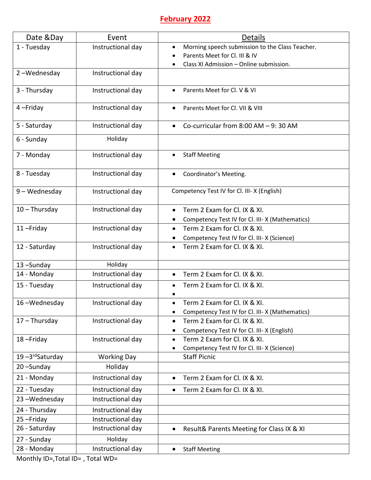#### **February 2022**

| Date &Day       | Event              | <b>Details</b>                                               |
|-----------------|--------------------|--------------------------------------------------------------|
| 1 - Tuesday     | Instructional day  | Morning speech submission to the Class Teacher.<br>$\bullet$ |
|                 |                    | Parents Meet for Cl. III & IV                                |
|                 |                    | Class XI Admission - Online submission.                      |
| 2-Wednesday     | Instructional day  |                                                              |
| 3 - Thursday    | Instructional day  | Parents Meet for Cl. V & VI                                  |
| 4-Friday        | Instructional day  | Parents Meet for Cl. VII & VIII                              |
| 5 - Saturday    | Instructional day  | Co-curricular from $8:00$ AM $-9:30$ AM                      |
| 6 - Sunday      | Holiday            |                                                              |
| 7 - Monday      | Instructional day  | <b>Staff Meeting</b><br>$\bullet$                            |
| 8 - Tuesday     | Instructional day  | Coordinator's Meeting.                                       |
| 9 - Wednesday   | Instructional day  | Competency Test IV for Cl. III- X (English)                  |
| $10 - Thursday$ | Instructional day  | Term 2 Exam for Cl. IX & XI.                                 |
|                 |                    | Competency Test IV for Cl. III- X (Mathematics)<br>$\bullet$ |
| 11-Friday       | Instructional day  | Term 2 Exam for Cl. IX & XI.<br>$\bullet$                    |
|                 |                    | Competency Test IV for Cl. III- X (Science)                  |
| 12 - Saturday   | Instructional day  | Term 2 Exam for Cl. IX & XI.                                 |
| 13-Sunday       | Holiday            |                                                              |
| 14 - Monday     | Instructional day  | Term 2 Exam for Cl. IX & XI.<br>$\bullet$                    |
| 15 - Tuesday    | Instructional day  | Term 2 Exam for Cl. IX & XI.                                 |
| 16-Wednesday    | Instructional day  | Term 2 Exam for Cl. IX & XI.                                 |
|                 |                    | Competency Test IV for Cl. III-X (Mathematics)               |
| $17 - Thursday$ | Instructional day  | Term 2 Exam for Cl. IX & XI.<br>$\bullet$                    |
|                 |                    | Competency Test IV for Cl. III- X (English)                  |
| 18-Friday       | Instructional day  | Term 2 Exam for Cl. IX & XI.<br>$\bullet$                    |
|                 |                    | Competency Test IV for Cl. III- X (Science)                  |
| 19-3rdSaturday  | <b>Working Day</b> | <b>Staff Picnic</b>                                          |
| 20-Sunday       | Holiday            |                                                              |
| 21 - Monday     | Instructional day  | Term 2 Exam for Cl. IX & XI.<br>$\bullet$                    |
| 22 - Tuesday    | Instructional day  | Term 2 Exam for Cl. IX & XI.<br>$\bullet$                    |
| 23-Wednesday    | Instructional day  |                                                              |
| 24 - Thursday   | Instructional day  |                                                              |
| 25-Friday       | Instructional day  |                                                              |
| 26 - Saturday   | Instructional day  | Result& Parents Meeting for Class IX & XI<br>$\bullet$       |
| 27 - Sunday     | Holiday            |                                                              |
| 28 - Monday     | Instructional day  | <b>Staff Meeting</b><br>$\bullet$                            |

Monthly ID=,Total ID= , Total WD=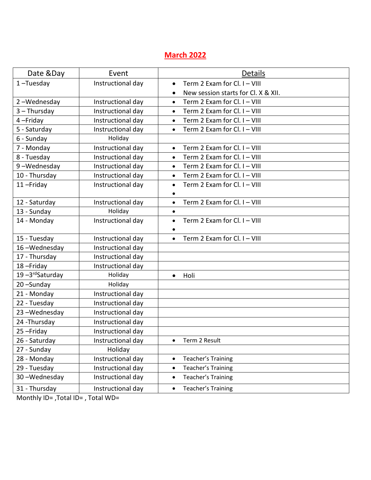# **March 2022**

| Date & Day      | Event             | <b>Details</b>                                         |
|-----------------|-------------------|--------------------------------------------------------|
| $1$ -Tuesday    | Instructional day | Term 2 Exam for Cl. I - VIII<br>$\bullet$              |
|                 |                   | New session starts for Cl. X & XII.                    |
| 2-Wednesday     | Instructional day | Term 2 Exam for Cl. I - VIII<br>$\bullet$              |
| $3 - Thursday$  | Instructional day | Term 2 Exam for Cl. I - VIII<br>$\bullet$              |
| 4-Friday        | Instructional day | Term 2 Exam for Cl. I - VIII<br>$\bullet$              |
| 5 - Saturday    | Instructional day | Term 2 Exam for Cl. I - VIII<br>$\bullet$              |
| 6 - Sunday      | Holiday           |                                                        |
| 7 - Monday      | Instructional day | Term 2 Exam for Cl. I - VIII<br>$\bullet$              |
| 8 - Tuesday     | Instructional day | Term 2 Exam for Cl. I - VIII<br>$\bullet$              |
| 9-Wednesday     | Instructional day | Term 2 Exam for Cl. I - VIII<br>$\bullet$              |
| 10 - Thursday   | Instructional day | Term 2 Exam for Cl. I - VIII<br>$\bullet$              |
| 11-Friday       | Instructional day | Term 2 Exam for Cl. I - VIII<br>$\bullet$              |
|                 |                   |                                                        |
| 12 - Saturday   | Instructional day | Term 2 Exam for Cl. I - VIII<br>$\bullet$              |
| 13 - Sunday     | Holiday           | $\bullet$                                              |
| 14 - Monday     | Instructional day | Term 2 Exam for Cl. I - VIII<br>$\bullet$<br>$\bullet$ |
| 15 - Tuesday    | Instructional day | Term 2 Exam for Cl. I - VIII                           |
| 16-Wednesday    | Instructional day |                                                        |
| 17 - Thursday   | Instructional day |                                                        |
| 18-Friday       | Instructional day |                                                        |
| 19-3rd Saturday | Holiday           | Holi<br>$\bullet$                                      |
| 20-Sunday       | Holiday           |                                                        |
| 21 - Monday     | Instructional day |                                                        |
| 22 - Tuesday    | Instructional day |                                                        |
| 23-Wednesday    | Instructional day |                                                        |
| 24 - Thursday   | Instructional day |                                                        |
| 25-Friday       | Instructional day |                                                        |
| 26 - Saturday   | Instructional day | Term 2 Result                                          |
| 27 - Sunday     | Holiday           |                                                        |
| 28 - Monday     | Instructional day | Teacher's Training<br>$\bullet$                        |
| 29 - Tuesday    | Instructional day | Teacher's Training<br>$\bullet$                        |
| 30-Wednesday    | Instructional day | Teacher's Training<br>$\bullet$                        |
| 31 - Thursday   | Instructional day | Teacher's Training<br>$\bullet$                        |

Monthly ID= ,Total ID= , Total WD=